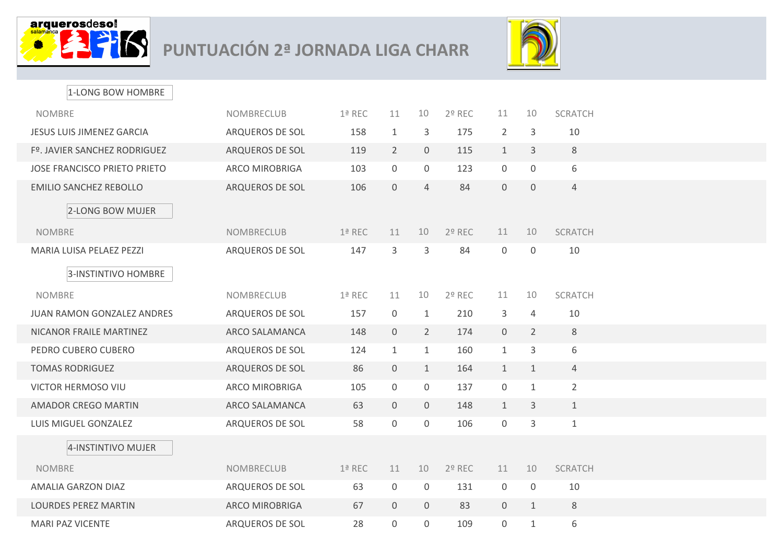

## **PUNTUACIÓN 2ª JORNADA LIGA CHARR**



| 1-LONG BOW HOMBRE                   |                        |          |                |                |        |                |                  |                |  |
|-------------------------------------|------------------------|----------|----------------|----------------|--------|----------------|------------------|----------------|--|
| <b>NOMBRE</b>                       | <b>NOMBRECLUB</b>      | 1ª REC   | 11             | 10             | 2º REC | 11             | 10               | <b>SCRATCH</b> |  |
| <b>JESUS LUIS JIMENEZ GARCIA</b>    | ARQUEROS DE SOL        | 158      | $\mathbf{1}$   | 3              | 175    | $\overline{2}$ | 3                | 10             |  |
| Fº. JAVIER SANCHEZ RODRIGUEZ        | <b>ARQUEROS DE SOL</b> | 119      | $\overline{2}$ | $\overline{0}$ | 115    | $\mathbf{1}$   | 3                | $\,8\,$        |  |
| <b>JOSE FRANCISCO PRIETO PRIETO</b> | <b>ARCO MIROBRIGA</b>  | 103      | $\overline{0}$ | $\mathbf 0$    | 123    | $\mathbf 0$    | $\boldsymbol{0}$ | 6              |  |
| <b>EMILIO SANCHEZ REBOLLO</b>       | ARQUEROS DE SOL        | 106      | $\mathbf{0}$   | $\overline{4}$ | 84     | $\overline{0}$ | $\overline{0}$   | $\overline{4}$ |  |
| 2-LONG BOW MUJER                    |                        |          |                |                |        |                |                  |                |  |
| <b>NOMBRE</b>                       | <b>NOMBRECLUB</b>      | 1ª REC   | 11             | 10             | 2º REC | 11             | 10               | <b>SCRATCH</b> |  |
| MARIA LUISA PELAEZ PEZZI            | ARQUEROS DE SOL        | 147      | 3              | 3              | 84     | $\mathbf 0$    | $\overline{0}$   | 10             |  |
| 3-INSTINTIVO HOMBRE                 |                        |          |                |                |        |                |                  |                |  |
| <b>NOMBRE</b>                       | NOMBRECLUB             | 1ª REC   | 11             | 10             | 2º REC | 11             | 10               | <b>SCRATCH</b> |  |
| <b>JUAN RAMON GONZALEZ ANDRES</b>   | ARQUEROS DE SOL        | 157      | $\overline{0}$ | $\mathbf{1}$   | 210    | 3              | $\overline{4}$   | 10             |  |
| NICANOR FRAILE MARTINEZ             | <b>ARCO SALAMANCA</b>  | 148      | $\overline{0}$ | $\overline{2}$ | 174    | $\overline{0}$ | $\overline{2}$   | 8              |  |
| PEDRO CUBERO CUBERO                 | ARQUEROS DE SOL        | 124      | $\mathbf{1}$   | $\mathbf{1}$   | 160    | $\mathbf{1}$   | 3                | 6              |  |
| <b>TOMAS RODRIGUEZ</b>              | ARQUEROS DE SOL        | 86       | $\overline{0}$ | $\mathbf{1}$   | 164    | $\mathbf{1}$   | $\mathbf{1}$     | $\overline{4}$ |  |
| <b>VICTOR HERMOSO VIU</b>           | <b>ARCO MIROBRIGA</b>  | 105      | $\overline{0}$ | $\overline{0}$ | 137    | $\overline{0}$ | $\mathbf{1}$     | $\overline{2}$ |  |
| <b>AMADOR CREGO MARTIN</b>          | <b>ARCO SALAMANCA</b>  | 63       | $\overline{0}$ | $\overline{0}$ | 148    | $\mathbf{1}$   | 3                | $\mathbf{1}$   |  |
| LUIS MIGUEL GONZALEZ                | ARQUEROS DE SOL        | 58       | $\overline{0}$ | $\mathbf 0$    | 106    | $\mathbf 0$    | 3                | $\mathbf 1$    |  |
| 4-INSTINTIVO MUJER                  |                        |          |                |                |        |                |                  |                |  |
| <b>NOMBRE</b>                       | <b>NOMBRECLUB</b>      | $1a$ REC | 11             | 10             | 2º REC | 11             | 10               | <b>SCRATCH</b> |  |
| AMALIA GARZON DIAZ                  | ARQUEROS DE SOL        | 63       | $\overline{0}$ | $\overline{0}$ | 131    | $\overline{0}$ | 0                | 10             |  |
| <b>LOURDES PEREZ MARTIN</b>         | <b>ARCO MIROBRIGA</b>  | 67       | $\overline{0}$ | $\overline{0}$ | 83     | $\overline{0}$ | $\mathbf{1}$     | 8              |  |
| <b>MARI PAZ VICENTE</b>             | ARQUEROS DE SOL        | 28       | $\mathbf 0$    | $\overline{0}$ | 109    | $\overline{0}$ | $\mathbf{1}$     | 6              |  |